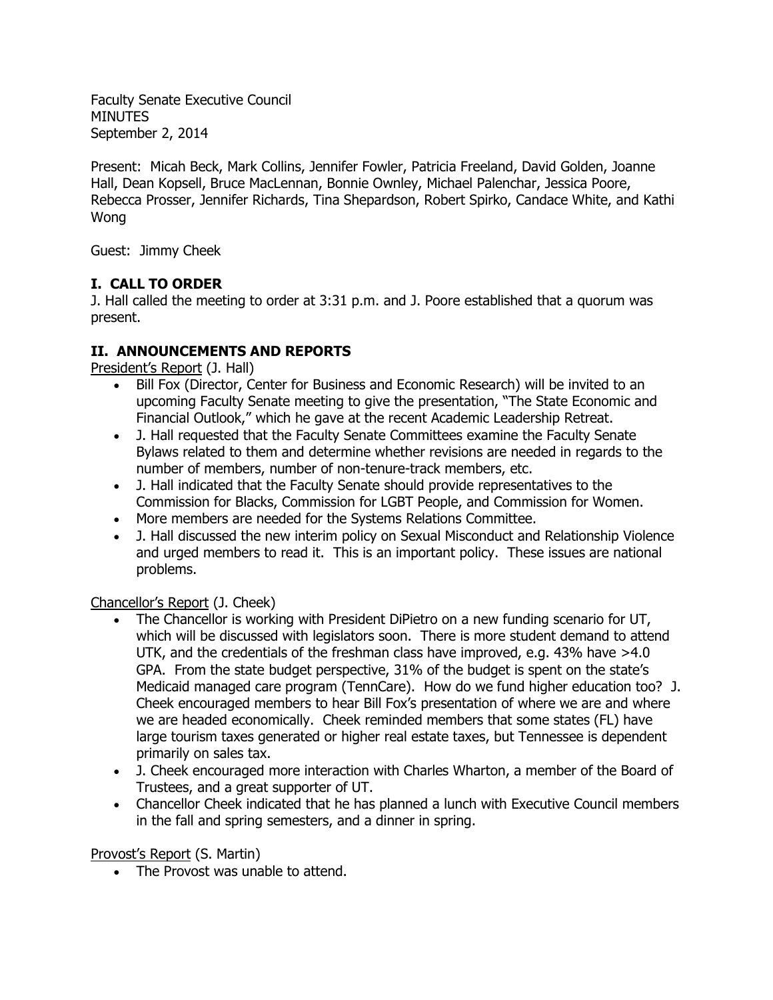Faculty Senate Executive Council MINUTES September 2, 2014

Present: Micah Beck, Mark Collins, Jennifer Fowler, Patricia Freeland, David Golden, Joanne Hall, Dean Kopsell, Bruce MacLennan, Bonnie Ownley, Michael Palenchar, Jessica Poore, Rebecca Prosser, Jennifer Richards, Tina Shepardson, Robert Spirko, Candace White, and Kathi Wong

Guest: Jimmy Cheek

# **I. CALL TO ORDER**

J. Hall called the meeting to order at 3:31 p.m. and J. Poore established that a quorum was present.

# **II. ANNOUNCEMENTS AND REPORTS**

President's Report (J. Hall)

- Bill Fox (Director, Center for Business and Economic Research) will be invited to an upcoming Faculty Senate meeting to give the presentation, "The State Economic and Financial Outlook," which he gave at the recent Academic Leadership Retreat.
- J. Hall requested that the Faculty Senate Committees examine the Faculty Senate Bylaws related to them and determine whether revisions are needed in regards to the number of members, number of non-tenure-track members, etc.
- J. Hall indicated that the Faculty Senate should provide representatives to the Commission for Blacks, Commission for LGBT People, and Commission for Women.
- More members are needed for the Systems Relations Committee.
- J. Hall discussed the new interim policy on Sexual Misconduct and Relationship Violence and urged members to read it. This is an important policy. These issues are national problems.

Chancellor's Report (J. Cheek)

- The Chancellor is working with President DiPietro on a new funding scenario for UT, which will be discussed with legislators soon. There is more student demand to attend UTK, and the credentials of the freshman class have improved, e.g. 43% have >4.0 GPA. From the state budget perspective, 31% of the budget is spent on the state's Medicaid managed care program (TennCare). How do we fund higher education too? J. Cheek encouraged members to hear Bill Fox's presentation of where we are and where we are headed economically. Cheek reminded members that some states (FL) have large tourism taxes generated or higher real estate taxes, but Tennessee is dependent primarily on sales tax.
- J. Cheek encouraged more interaction with Charles Wharton, a member of the Board of Trustees, and a great supporter of UT.
- Chancellor Cheek indicated that he has planned a lunch with Executive Council members in the fall and spring semesters, and a dinner in spring.

Provost's Report (S. Martin)

• The Provost was unable to attend.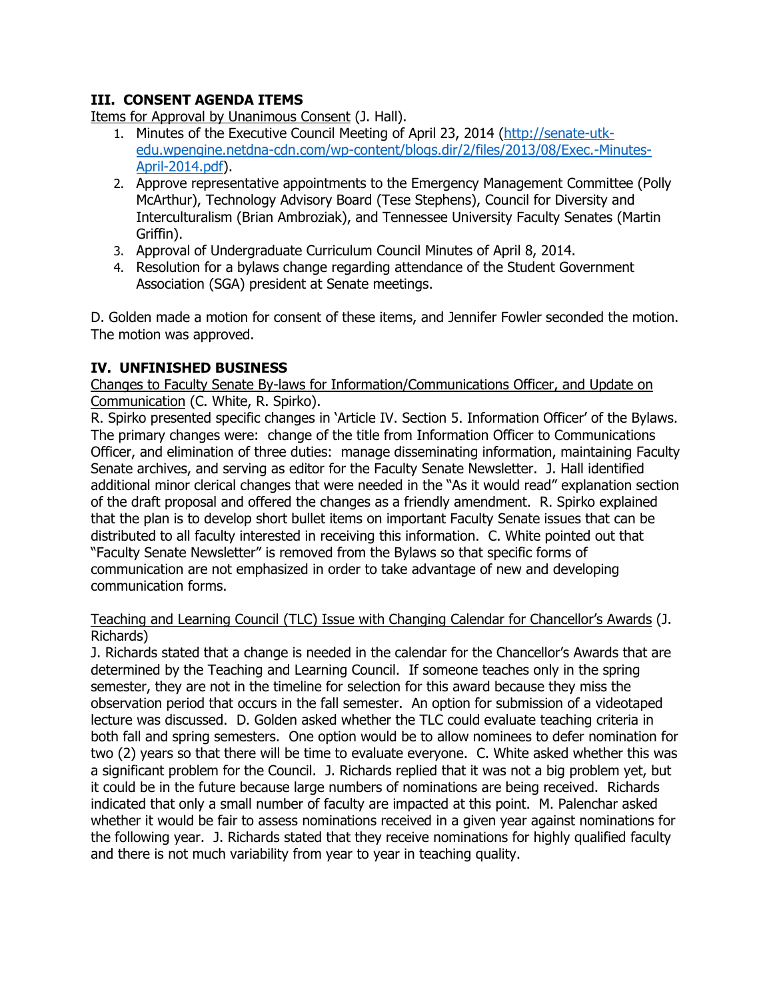## **III. CONSENT AGENDA ITEMS**

Items for Approval by Unanimous Consent (J. Hall).

- 1. Minutes of the Executive Council Meeting of April 23, 2014 [\(http://senate-utk](http://senate-utk-edu.wpengine.netdna-cdn.com/wp-content/blogs.dir/2/files/2013/08/Exec.-Minutes-April-2014.pdf)[edu.wpengine.netdna-cdn.com/wp-content/blogs.dir/2/files/2013/08/Exec.-Minutes-](http://senate-utk-edu.wpengine.netdna-cdn.com/wp-content/blogs.dir/2/files/2013/08/Exec.-Minutes-April-2014.pdf)[April-2014.pdf\)](http://senate-utk-edu.wpengine.netdna-cdn.com/wp-content/blogs.dir/2/files/2013/08/Exec.-Minutes-April-2014.pdf).
- 2. Approve representative appointments to the Emergency Management Committee (Polly McArthur), Technology Advisory Board (Tese Stephens), Council for Diversity and Interculturalism (Brian Ambroziak), and Tennessee University Faculty Senates (Martin Griffin).
- 3. Approval of Undergraduate Curriculum Council Minutes of April 8, 2014.
- 4. Resolution for a bylaws change regarding attendance of the Student Government Association (SGA) president at Senate meetings.

D. Golden made a motion for consent of these items, and Jennifer Fowler seconded the motion. The motion was approved.

# **IV. UNFINISHED BUSINESS**

Changes to Faculty Senate By-laws for Information/Communications Officer, and Update on Communication (C. White, R. Spirko).

R. Spirko presented specific changes in 'Article IV. Section 5. Information Officer' of the Bylaws. The primary changes were: change of the title from Information Officer to Communications Officer, and elimination of three duties: manage disseminating information, maintaining Faculty Senate archives, and serving as editor for the Faculty Senate Newsletter. J. Hall identified additional minor clerical changes that were needed in the "As it would read" explanation section of the draft proposal and offered the changes as a friendly amendment. R. Spirko explained that the plan is to develop short bullet items on important Faculty Senate issues that can be distributed to all faculty interested in receiving this information. C. White pointed out that "Faculty Senate Newsletter" is removed from the Bylaws so that specific forms of communication are not emphasized in order to take advantage of new and developing communication forms.

## Teaching and Learning Council (TLC) Issue with Changing Calendar for Chancellor's Awards (J. Richards)

J. Richards stated that a change is needed in the calendar for the Chancellor's Awards that are determined by the Teaching and Learning Council. If someone teaches only in the spring semester, they are not in the timeline for selection for this award because they miss the observation period that occurs in the fall semester. An option for submission of a videotaped lecture was discussed. D. Golden asked whether the TLC could evaluate teaching criteria in both fall and spring semesters. One option would be to allow nominees to defer nomination for two (2) years so that there will be time to evaluate everyone. C. White asked whether this was a significant problem for the Council. J. Richards replied that it was not a big problem yet, but it could be in the future because large numbers of nominations are being received. Richards indicated that only a small number of faculty are impacted at this point. M. Palenchar asked whether it would be fair to assess nominations received in a given year against nominations for the following year. J. Richards stated that they receive nominations for highly qualified faculty and there is not much variability from year to year in teaching quality.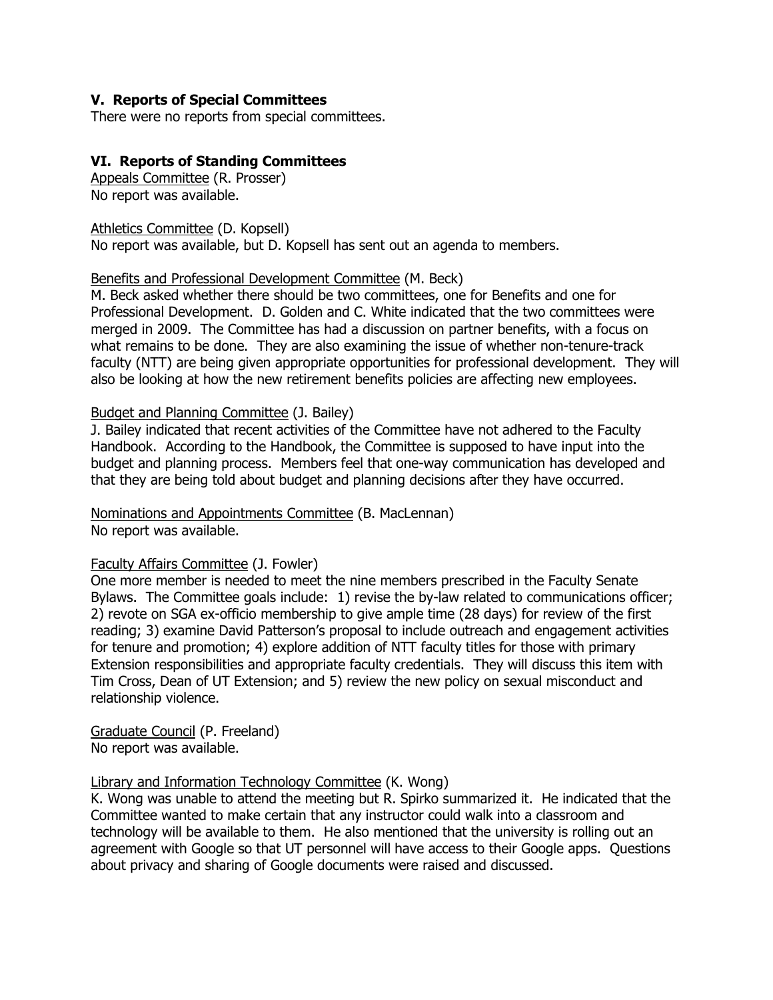#### **V. Reports of Special Committees**

There were no reports from special committees.

#### **VI. Reports of Standing Committees**

Appeals Committee (R. Prosser) No report was available.

Athletics Committee (D. Kopsell) No report was available, but D. Kopsell has sent out an agenda to members.

#### Benefits and Professional Development Committee (M. Beck)

M. Beck asked whether there should be two committees, one for Benefits and one for Professional Development. D. Golden and C. White indicated that the two committees were merged in 2009. The Committee has had a discussion on partner benefits, with a focus on what remains to be done. They are also examining the issue of whether non-tenure-track faculty (NTT) are being given appropriate opportunities for professional development. They will also be looking at how the new retirement benefits policies are affecting new employees.

#### Budget and Planning Committee (J. Bailey)

J. Bailey indicated that recent activities of the Committee have not adhered to the Faculty Handbook. According to the Handbook, the Committee is supposed to have input into the budget and planning process. Members feel that one-way communication has developed and that they are being told about budget and planning decisions after they have occurred.

Nominations and Appointments Committee (B. MacLennan) No report was available.

#### Faculty Affairs Committee (J. Fowler)

One more member is needed to meet the nine members prescribed in the Faculty Senate Bylaws. The Committee goals include: 1) revise the by-law related to communications officer; 2) revote on SGA ex-officio membership to give ample time (28 days) for review of the first reading; 3) examine David Patterson's proposal to include outreach and engagement activities for tenure and promotion; 4) explore addition of NTT faculty titles for those with primary Extension responsibilities and appropriate faculty credentials. They will discuss this item with Tim Cross, Dean of UT Extension; and 5) review the new policy on sexual misconduct and relationship violence.

Graduate Council (P. Freeland) No report was available.

#### Library and Information Technology Committee (K. Wong)

K. Wong was unable to attend the meeting but R. Spirko summarized it. He indicated that the Committee wanted to make certain that any instructor could walk into a classroom and technology will be available to them. He also mentioned that the university is rolling out an agreement with Google so that UT personnel will have access to their Google apps. Questions about privacy and sharing of Google documents were raised and discussed.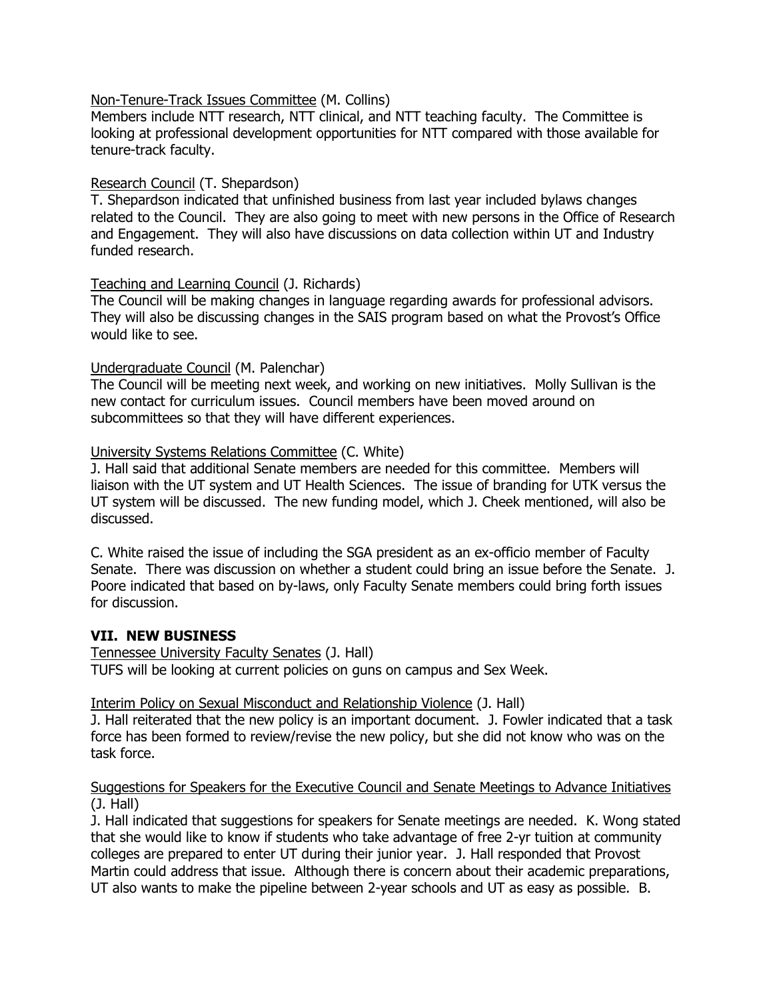#### Non-Tenure-Track Issues Committee (M. Collins)

Members include NTT research, NTT clinical, and NTT teaching faculty. The Committee is looking at professional development opportunities for NTT compared with those available for tenure-track faculty.

### Research Council (T. Shepardson)

T. Shepardson indicated that unfinished business from last year included bylaws changes related to the Council. They are also going to meet with new persons in the Office of Research and Engagement. They will also have discussions on data collection within UT and Industry funded research.

### Teaching and Learning Council (J. Richards)

The Council will be making changes in language regarding awards for professional advisors. They will also be discussing changes in the SAIS program based on what the Provost's Office would like to see.

## Undergraduate Council (M. Palenchar)

The Council will be meeting next week, and working on new initiatives. Molly Sullivan is the new contact for curriculum issues. Council members have been moved around on subcommittees so that they will have different experiences.

### University Systems Relations Committee (C. White)

J. Hall said that additional Senate members are needed for this committee. Members will liaison with the UT system and UT Health Sciences. The issue of branding for UTK versus the UT system will be discussed. The new funding model, which J. Cheek mentioned, will also be discussed.

C. White raised the issue of including the SGA president as an ex-officio member of Faculty Senate. There was discussion on whether a student could bring an issue before the Senate. J. Poore indicated that based on by-laws, only Faculty Senate members could bring forth issues for discussion.

## **VII. NEW BUSINESS**

Tennessee University Faculty Senates (J. Hall) TUFS will be looking at current policies on guns on campus and Sex Week.

Interim Policy on Sexual Misconduct and Relationship Violence (J. Hall)

J. Hall reiterated that the new policy is an important document. J. Fowler indicated that a task force has been formed to review/revise the new policy, but she did not know who was on the task force.

### Suggestions for Speakers for the Executive Council and Senate Meetings to Advance Initiatives (J. Hall)

J. Hall indicated that suggestions for speakers for Senate meetings are needed. K. Wong stated that she would like to know if students who take advantage of free 2-yr tuition at community colleges are prepared to enter UT during their junior year. J. Hall responded that Provost Martin could address that issue. Although there is concern about their academic preparations, UT also wants to make the pipeline between 2-year schools and UT as easy as possible. B.